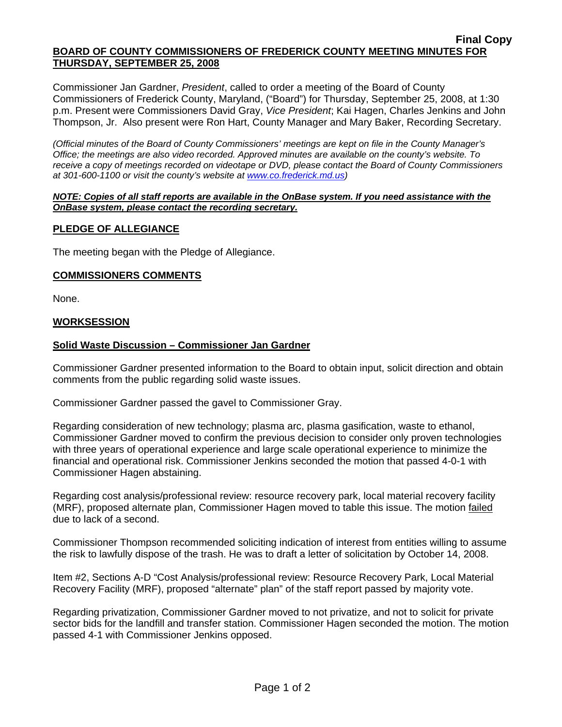### **Final Copy BOARD OF COUNTY COMMISSIONERS OF FREDERICK COUNTY MEETING MINUTES FOR THURSDAY, SEPTEMBER 25, 2008**

Commissioner Jan Gardner, *President*, called to order a meeting of the Board of County Commissioners of Frederick County, Maryland, ("Board") for Thursday, September 25, 2008, at 1:30 p.m. Present were Commissioners David Gray, *Vice President*; Kai Hagen, Charles Jenkins and John Thompson, Jr. Also present were Ron Hart, County Manager and Mary Baker, Recording Secretary.

*(Official minutes of the Board of County Commissioners' meetings are kept on file in the County Manager's Office; the meetings are also video recorded. Approved minutes are available on the county's website. To receive a copy of meetings recorded on videotape or DVD, please contact the Board of County Commissioners at 301-600-1100 or visit the county's website at [www.co.frederick.md.us\)](http://www.co.frederick.md.us/)* 

#### *NOTE: Copies of all staff reports are available in the OnBase system. If you need assistance with the OnBase system, please contact the recording secretary.*

# **PLEDGE OF ALLEGIANCE**

The meeting began with the Pledge of Allegiance.

# **COMMISSIONERS COMMENTS**

None.

# **WORKSESSION**

# **Solid Waste Discussion – Commissioner Jan Gardner**

Commissioner Gardner presented information to the Board to obtain input, solicit direction and obtain comments from the public regarding solid waste issues.

Commissioner Gardner passed the gavel to Commissioner Gray.

Regarding consideration of new technology; plasma arc, plasma gasification, waste to ethanol, Commissioner Gardner moved to confirm the previous decision to consider only proven technologies with three years of operational experience and large scale operational experience to minimize the financial and operational risk. Commissioner Jenkins seconded the motion that passed 4-0-1 with Commissioner Hagen abstaining.

Regarding cost analysis/professional review: resource recovery park, local material recovery facility (MRF), proposed alternate plan, Commissioner Hagen moved to table this issue. The motion failed due to lack of a second.

Commissioner Thompson recommended soliciting indication of interest from entities willing to assume the risk to lawfully dispose of the trash. He was to draft a letter of solicitation by October 14, 2008.

Item #2, Sections A-D "Cost Analysis/professional review: Resource Recovery Park, Local Material Recovery Facility (MRF), proposed "alternate" plan" of the staff report passed by majority vote.

Regarding privatization, Commissioner Gardner moved to not privatize, and not to solicit for private sector bids for the landfill and transfer station. Commissioner Hagen seconded the motion. The motion passed 4-1 with Commissioner Jenkins opposed.